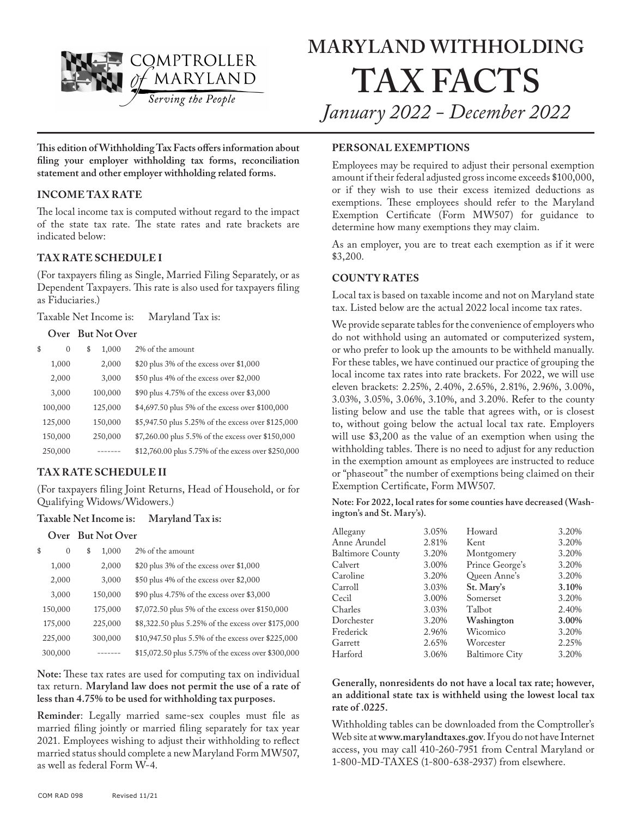

**This edition of Withholding Tax Facts offers information about filing your employer withholding tax forms, reconciliation statement and other employer withholding related forms.**

#### **INCOME TAX RATE**

The local income tax is computed without regard to the impact of the state tax rate. The state rates and rate brackets are indicated below:

### **TAX RATE SCHEDULE I**

(For taxpayers filing as Single, Married Filing Separately, or as Dependent Taxpayers. This rate is also used for taxpayers filing as Fiduciaries.)

Taxable Net Income is: Maryland Tax is:

#### **Over But Not Over**

| \$<br>$\Omega$ | \$<br>1,000 | 2% of the amount                                    |
|----------------|-------------|-----------------------------------------------------|
| 1,000          | 2,000       | \$20 plus 3% of the excess over \$1,000             |
| 2,000          | 3,000       | \$50 plus 4% of the excess over \$2,000             |
| 3,000          | 100,000     | \$90 plus 4.75% of the excess over \$3,000          |
| 100,000        | 125,000     | \$4,697.50 plus 5% of the excess over \$100,000     |
| 125,000        | 150,000     | \$5,947.50 plus 5.25% of the excess over \$125,000  |
| 150,000        | 250,000     | \$7,260.00 plus 5.5% of the excess over \$150,000   |
| 250,000        |             | \$12,760.00 plus 5.75% of the excess over \$250,000 |

### **TAX RATE SCHEDULE II**

(For taxpayers filing Joint Returns, Head of Household, or for Qualifying Widows/Widowers.)

#### **Taxable Net Income is: Maryland Tax is:**

#### **Over But Not Over**

| \$<br>0 | \$<br>1,000 | 2% of the amount                                    |
|---------|-------------|-----------------------------------------------------|
| 1,000   | 2,000       | \$20 plus 3% of the excess over \$1,000             |
| 2,000   | 3,000       | \$50 plus 4% of the excess over \$2,000             |
| 3,000   | 150,000     | \$90 plus 4.75% of the excess over \$3,000          |
| 150,000 | 175,000     | \$7,072.50 plus 5% of the excess over \$150,000     |
| 175,000 | 225,000     | \$8,322.50 plus 5.25% of the excess over \$175,000  |
| 225,000 | 300,000     | \$10,947.50 plus 5.5% of the excess over \$225,000  |
| 300,000 |             | \$15,072.50 plus 5.75% of the excess over \$300,000 |

**Note:** These tax rates are used for computing tax on individual tax return. **Maryland law does not permit the use of a rate of less than 4.75% to be used for withholding tax purposes.**

**Reminder**: Legally married same-sex couples must file as married filing jointly or married filing separately for tax year 2021. Employees wishing to adjust their withholding to reflect married status should complete a new Maryland Form MW507, as well as federal Form W-4.

#### **PERSONAL EXEMPTIONS**

Employees may be required to adjust their personal exemption amount if their federal adjusted gross income exceeds \$100,000, or if they wish to use their excess itemized deductions as exemptions. These employees should refer to the Maryland Exemption Certificate (Form MW507) for guidance to determine how many exemptions they may claim.

As an employer, you are to treat each exemption as if it were \$3,200.

### **COUNTY RATES**

Local tax is based on taxable income and not on Maryland state tax. Listed below are the actual 2022 local income tax rates.

We provide separate tables for the convenience of employers who do not withhold using an automated or computerized system, or who prefer to look up the amounts to be withheld manually. For these tables, we have continued our practice of grouping the local income tax rates into rate brackets. For 2022, we will use eleven brackets: 2.25%, 2.40%, 2.65%, 2.81%, 2.96%, 3.00%, 3.03%, 3.05%, 3.06%, 3.10%, and 3.20%. Refer to the county listing below and use the table that agrees with, or is closest to, without going below the actual local tax rate. Employers will use \$3,200 as the value of an exemption when using the withholding tables. There is no need to adjust for any reduction in the exemption amount as employees are instructed to reduce or "phaseout" the number of exemptions being claimed on their Exemption Certificate, Form MW507.

**Note: For 2022, local rates for some counties have decreased (Washington's and St. Mary's).**

| Allegany         | 3.05% | Howard                | 3.20% |
|------------------|-------|-----------------------|-------|
| Anne Arundel     | 2.81% | Kent                  | 3.20% |
| Baltimore County | 3.20% | Montgomery            | 3.20% |
| Calvert          | 3.00% | Prince George's       | 3.20% |
| Caroline         | 3.20% | Queen Anne's          | 3.20% |
| Carroll          | 3.03% | St. Mary's            | 3.10% |
| Cecil            | 3.00% | Somerset              | 3.20% |
| Charles          | 3.03% | Talbot                | 2.40% |
| Dorchester       | 3.20% | Washington            | 3.00% |
| Frederick        | 2.96% | Wicomico              | 3.20% |
| Garrett          | 2.65% | Worcester             | 2.25% |
| Harford          | 3.06% | <b>Baltimore City</b> | 3.20% |
|                  |       |                       |       |

**Generally, nonresidents do not have a local tax rate; however, an additional state tax is withheld using the lowest local tax rate of .0225.**

Withholding tables can be downloaded from the Comptroller's Web site at **www.marylandtaxes.gov**. If you do not have Internet access, you may call 410-260-7951 from Central Maryland or 1-800-MD-TAXES (1-800-638-2937) from elsewhere.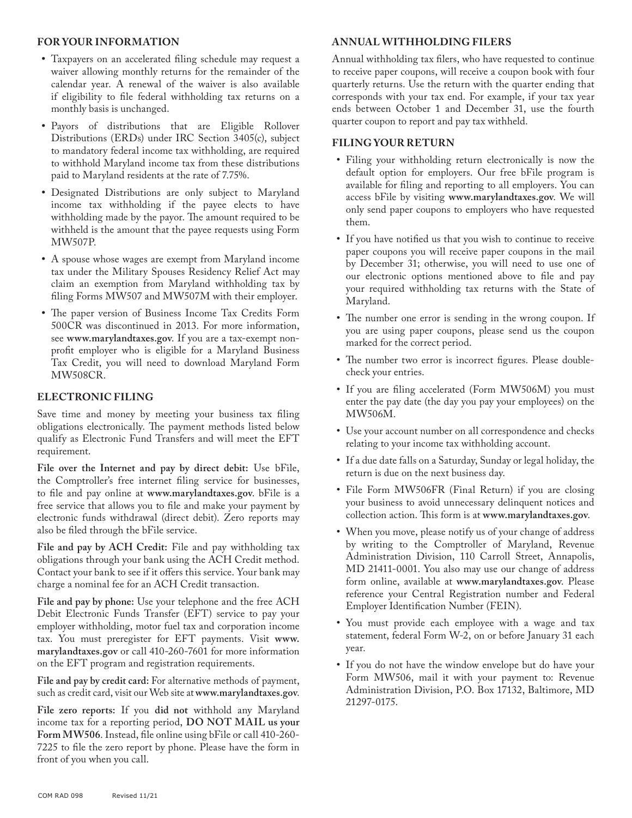#### **FOR YOUR INFORMATION**

- **•** Taxpayers on an accelerated filing schedule may request a waiver allowing monthly returns for the remainder of the calendar year. A renewal of the waiver is also available if eligibility to file federal withholding tax returns on a monthly basis is unchanged.
- **•** Payors of distributions that are Eligible Rollover Distributions (ERDs) under IRC Section 3405(c), subject to mandatory federal income tax withholding, are required to withhold Maryland income tax from these distributions paid to Maryland residents at the rate of 7.75%.
- **•** Designated Distributions are only subject to Maryland income tax withholding if the payee elects to have withholding made by the payor. The amount required to be withheld is the amount that the payee requests using Form MW507P.
- **•** A spouse whose wages are exempt from Maryland income tax under the Military Spouses Residency Relief Act may claim an exemption from Maryland withholding tax by filing Forms MW507 and MW507M with their employer.
- **•** The paper version of Business Income Tax Credits Form 500CR was discontinued in 2013. For more information, see **www.marylandtaxes.gov**. If you are a tax-exempt nonprofit employer who is eligible for a Maryland Business Tax Credit, you will need to download Maryland Form MW508CR.

### **ELECTRONIC FILING**

Save time and money by meeting your business tax filing obligations electronically. The payment methods listed below qualify as Electronic Fund Transfers and will meet the EFT requirement.

**File over the Internet and pay by direct debit:** Use bFile, the Comptroller's free internet filing service for businesses, to file and pay online at **www.marylandtaxes.gov**. bFile is a free service that allows you to file and make your payment by electronic funds withdrawal (direct debit). Zero reports may also be filed through the bFile service.

**File and pay by ACH Credit:** File and pay withholding tax obligations through your bank using the ACH Credit method. Contact your bank to see if it offers this service. Your bank may charge a nominal fee for an ACH Credit transaction.

**File and pay by phone:** Use your telephone and the free ACH Debit Electronic Funds Transfer (EFT) service to pay your employer withholding, motor fuel tax and corporation income tax. You must preregister for EFT payments. Visit **www. marylandtaxes.gov** or call 410-260-7601 for more information on the EFT program and registration requirements.

**File and pay by credit card:** For alternative methods of payment, such as credit card, visit our Web site at **www.marylandtaxes.gov**.

**File zero reports:** If you **did not** withhold any Maryland income tax for a reporting period, **DO NOT MAIL us your Form MW506**. Instead, file online using bFile or call 410-260- 7225 to file the zero report by phone. Please have the form in front of you when you call.

## **ANNUAL WITHHOLDING FILERS**

Annual withholding tax filers, who have requested to continue to receive paper coupons, will receive a coupon book with four quarterly returns. Use the return with the quarter ending that corresponds with your tax end. For example, if your tax year ends between October 1 and December 31, use the fourth quarter coupon to report and pay tax withheld.

### **FILING YOUR RETURN**

- **•** Filing your withholding return electronically is now the default option for employers. Our free bFile program is available for filing and reporting to all employers. You can access bFile by visiting **www.marylandtaxes.gov**. We will only send paper coupons to employers who have requested them.
- **•** If you have notified us that you wish to continue to receive paper coupons you will receive paper coupons in the mail by December 31; otherwise, you will need to use one of our electronic options mentioned above to file and pay your required withholding tax returns with the State of Maryland.
- **•** The number one error is sending in the wrong coupon. If you are using paper coupons, please send us the coupon marked for the correct period.
- **•** The number two error is incorrect figures. Please doublecheck your entries.
- **•** If you are filing accelerated (Form MW506M) you must enter the pay date (the day you pay your employees) on the MW506M.
- **•** Use your account number on all correspondence and checks relating to your income tax withholding account.
- **•** If a due date falls on a Saturday, Sunday or legal holiday, the return is due on the next business day.
- **•** File Form MW506FR (Final Return) if you are closing your business to avoid unnecessary delinquent notices and collection action. This form is at **www.marylandtaxes.gov**.
- **•** When you move, please notify us of your change of address by writing to the Comptroller of Maryland, Revenue Administration Division, 110 Carroll Street, Annapolis, MD 21411-0001. You also may use our change of address form online, available at **www.marylandtaxes.gov**. Please reference your Central Registration number and Federal Employer Identification Number (FEIN).
- **•** You must provide each employee with a wage and tax statement, federal Form W-2, on or before January 31 each year.
- **•** If you do not have the window envelope but do have your Form MW506, mail it with your payment to: Revenue Administration Division, P.O. Box 17132, Baltimore, MD 21297-0175.